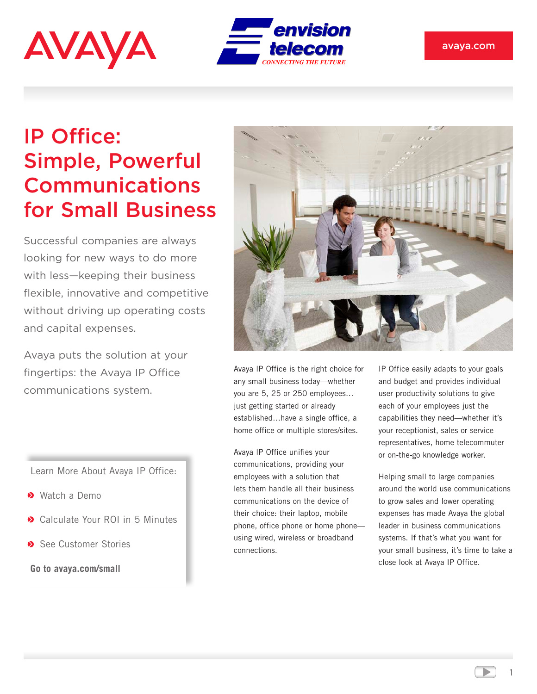



## IP Office: Simple, Powerful Communications for Small Business

Successful companies are always looking for new ways to do more with less—keeping their business flexible, innovative and competitive without driving up operating costs and capital expenses.

Avaya puts the solution at your fingertips: the Avaya IP Office communications system.

Learn More About Avaya IP Office:

- Watch a Demo
- **◆ Calculate Your ROI in 5 Minutes**
- See Customer Stories

**Go to avaya.com/small**



Avaya IP Office is the right choice for any small business today—whether you are 5, 25 or 250 employees… just getting started or already established…have a single office, a home office or multiple stores/sites.

Avaya IP Office unifies your communications, providing your employees with a solution that lets them handle all their business communications on the device of their choice: their laptop, mobile phone, office phone or home phone using wired, wireless or broadband connections.

IP Office easily adapts to your goals and budget and provides individual user productivity solutions to give each of your employees just the capabilities they need—whether it's your receptionist, sales or service representatives, home telecommuter or on-the-go knowledge worker.

Helping small to large companies around the world use communications to grow sales and lower operating expenses has made Avaya the global leader in business communications systems. If that's what you want for your small business, it's time to take a close look at Avaya IP Office.

1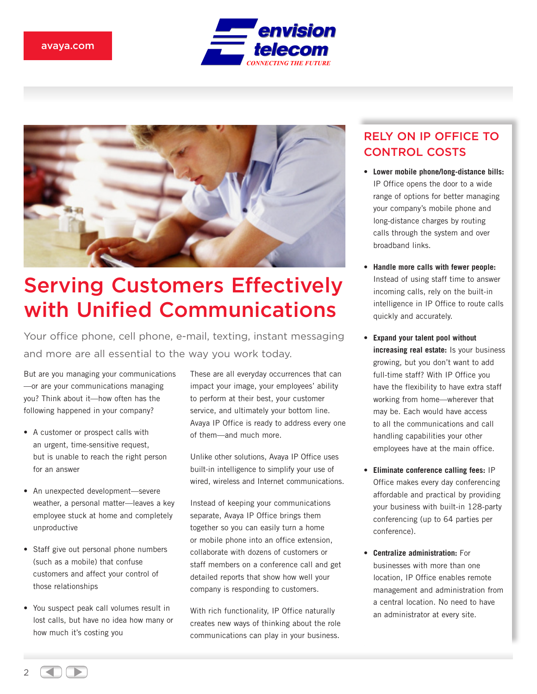



## Serving Customers Effectively with Unified Communications

Your office phone, cell phone, e-mail, texting, instant messaging and more are all essential to the way you work today.

But are you managing your communications —or are your communications managing you? Think about it—how often has the following happened in your company?

- A customer or prospect calls with an urgent, time-sensitive request, but is unable to reach the right person for an answer
- An unexpected development—severe weather, a personal matter—leaves a key employee stuck at home and completely unproductive
- Staff give out personal phone numbers (such as a mobile) that confuse customers and affect your control of those relationships
- You suspect peak call volumes result in lost calls, but have no idea how many or how much it's costing you

These are all everyday occurrences that can impact your image, your employees' ability to perform at their best, your customer service, and ultimately your bottom line. Avaya IP Office is ready to address every one of them—and much more.

Unlike other solutions, Avaya IP Office uses built-in intelligence to simplify your use of wired, wireless and Internet communications.

Instead of keeping your communications separate, Avaya IP Office brings them together so you can easily turn a home or mobile phone into an office extension, collaborate with dozens of customers or staff members on a conference call and get detailed reports that show how well your company is responding to customers.

With rich functionality, IP Office naturally creates new ways of thinking about the role communications can play in your business.

### RELY ON IP OFFICE TO CONTROL COSTS

- **Lower mobile phone/long-distance bills:** IP Office opens the door to a wide range of options for better managing your company's mobile phone and long-distance charges by routing calls through the system and over broadband links.
- **Handle more calls with fewer people:** Instead of using staff time to answer incoming calls, rely on the built-in intelligence in IP Office to route calls quickly and accurately.
- **Expand your talent pool without increasing real estate:** Is your business growing, but you don't want to add full-time staff? With IP Office you have the flexibility to have extra staff working from home—wherever that may be. Each would have access to all the communications and call handling capabilities your other employees have at the main office.
- **Eliminate conference calling fees:** IP Office makes every day conferencing affordable and practical by providing your business with built-in 128-party conferencing (up to 64 parties per conference).
- **Centralize administration:** For businesses with more than one location, IP Office enables remote management and administration from a central location. No need to have an administrator at every site.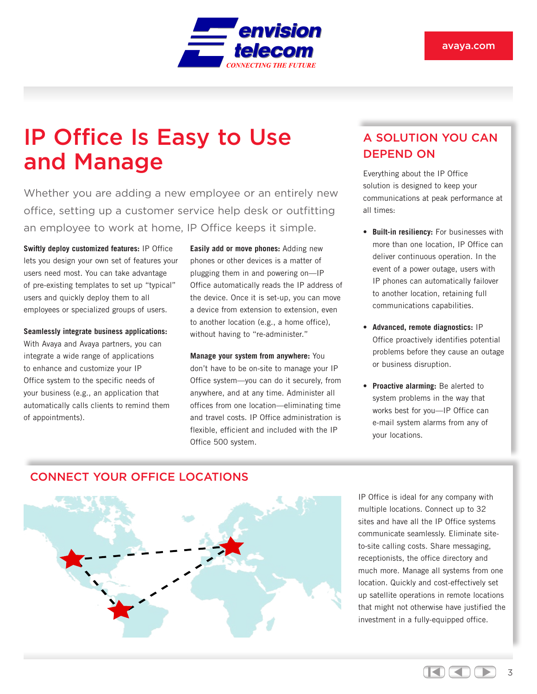

## IP Office Is Easy to Use and Manage

Whether you are adding a new employee or an entirely new office, setting up a customer service help desk or outfitting an employee to work at home, IP Office keeps it simple.

**Swiftly deploy customized features:** IP Office lets you design your own set of features your users need most. You can take advantage of pre-existing templates to set up "typical" users and quickly deploy them to all employees or specialized groups of users.

**Seamlessly integrate business applications:**  With Avaya and Avaya partners, you can integrate a wide range of applications to enhance and customize your IP Office system to the specific needs of your business (e.g., an application that automatically calls clients to remind them of appointments).

**Easily add or move phones:** Adding new phones or other devices is a matter of plugging them in and powering on—IP Office automatically reads the IP address of the device. Once it is set-up, you can move a device from extension to extension, even to another location (e.g., a home office), without having to "re-administer."

**Manage your system from anywhere:** You don't have to be on-site to manage your IP Office system—you can do it securely, from anywhere, and at any time. Administer all offices from one location—eliminating time and travel costs. IP Office administration is flexible, efficient and included with the IP Office 500 system.

### A SOLUTION YOU CAN DEPEND ON

Everything about the IP Office solution is designed to keep your communications at peak performance at all times:

- **Built-in resiliency:** For businesses with more than one location, IP Office can deliver continuous operation. In the event of a power outage, users with IP phones can automatically failover to another location, retaining full communications capabilities.
- **Advanced, remote diagnostics:** IP Office proactively identifies potential problems before they cause an outage or business disruption.
- **Proactive alarming:** Be alerted to system problems in the way that works best for you—IP Office can e-mail system alarms from any of your locations.

### CONNECT YOUR OFFICE LOCATIONS



IP Office is ideal for any company with multiple locations. Connect up to 32 sites and have all the IP Office systems communicate seamlessly. Eliminate siteto-site calling costs. Share messaging, receptionists, the office directory and much more. Manage all systems from one location. Quickly and cost-effectively set up satellite operations in remote locations that might not otherwise have justified the investment in a fully-equipped office.

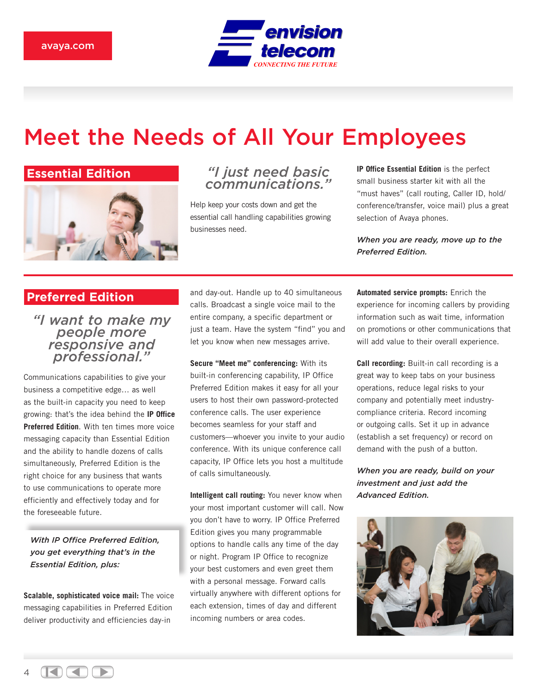

## Meet the Needs of All Your Employees

### **Essential Edition**



### *"I just need basic communications."*

Help keep your costs down and get the essential call handling capabilities growing businesses need.

**IP Office Essential Edition** is the perfect small business starter kit with all the "must haves" (call routing, Caller ID, hold/ conference/transfer, voice mail) plus a great selection of Avaya phones.

*When you are ready, move up to the Preferred Edition.*

### **Preferred Edition**

*"I want to make my people more responsive and professional."*

Communications capabilities to give your business a competitive edge… as well as the built-in capacity you need to keep growing: that's the idea behind the **IP Office Preferred Edition**. With ten times more voice messaging capacity than Essential Edition and the ability to handle dozens of calls simultaneously, Preferred Edition is the right choice for any business that wants to use communications to operate more efficiently and effectively today and for the foreseeable future.

*With IP Office Preferred Edition, you get everything that's in the Essential Edition, plus:*

**Scalable, sophisticated voice mail:** The voice messaging capabilities in Preferred Edition deliver productivity and efficiencies day-in

and day-out. Handle up to 40 simultaneous calls. Broadcast a single voice mail to the entire company, a specific department or just a team. Have the system "find" you and let you know when new messages arrive.

**Secure "Meet me" conferencing:** With its built-in conferencing capability, IP Office Preferred Edition makes it easy for all your users to host their own password-protected conference calls. The user experience becomes seamless for your staff and customers—whoever you invite to your audio conference. With its unique conference call capacity, IP Office lets you host a multitude of calls simultaneously.

**Intelligent call routing:** You never know when your most important customer will call. Now you don't have to worry. IP Office Preferred Edition gives you many programmable options to handle calls any time of the day or night. Program IP Office to recognize your best customers and even greet them with a personal message. Forward calls virtually anywhere with different options for each extension, times of day and different incoming numbers or area codes.

**Automated service prompts:** Enrich the experience for incoming callers by providing information such as wait time, information on promotions or other communications that will add value to their overall experience.

**Call recording:** Built-in call recording is a great way to keep tabs on your business operations, reduce legal risks to your company and potentially meet industrycompliance criteria. Record incoming or outgoing calls. Set it up in advance (establish a set frequency) or record on demand with the push of a button.

*When you are ready, build on your investment and just add the Advanced Edition.*



 $\Delta$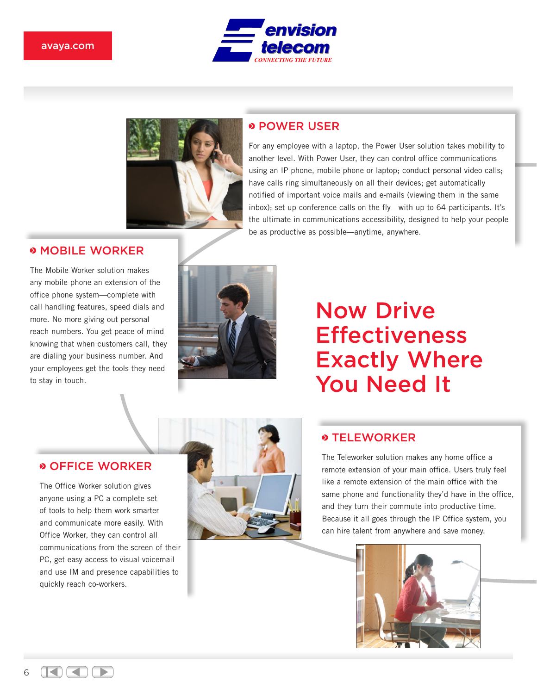#### avaya.com





### **POWER USER**

For any employee with a laptop, the Power User solution takes mobility to another level. With Power User, they can control office communications using an IP phone, mobile phone or laptop; conduct personal video calls; have calls ring simultaneously on all their devices; get automatically notified of important voice mails and e-mails (viewing them in the same inbox); set up conference calls on the fly—with up to 64 participants. It's the ultimate in communications accessibility, designed to help your people be as productive as possible—anytime, anywhere.

#### *<b>MOBILE WORKER*

The Mobile Worker solution makes any mobile phone an extension of the office phone system—complete with call handling features, speed dials and more. No more giving out personal reach numbers. You get peace of mind knowing that when customers call, they are dialing your business number. And your employees get the tools they need to stay in touch.



## Now Drive **Effectiveness** Exactly Where You Need It

### OFFICE WORKER

The Office Worker solution gives anyone using a PC a complete set of tools to help them work smarter and communicate more easily. With Office Worker, they can control all communications from the screen of their PC, get easy access to visual voicemail and use IM and presence capabilities to quickly reach co-workers.



### **S TELEWORKER**

The Teleworker solution makes any home office a remote extension of your main office. Users truly feel like a remote extension of the main office with the same phone and functionality they'd have in the office, and they turn their commute into productive time. Because it all goes through the IP Office system, you can hire talent from anywhere and save money.



 $\Box \Box \Box$ ◀

6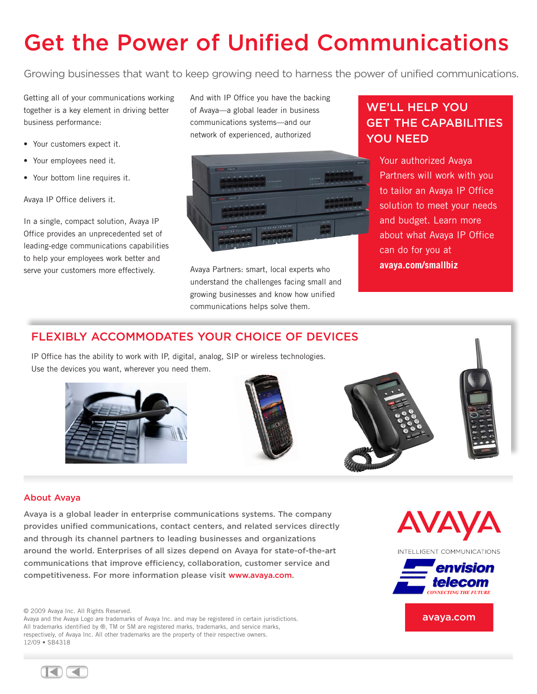# Get the Power of Unified Communications

Growing businesses that want to keep growing need to harness the power of unified communications.

Getting all of your communications working together is a key element in driving better business performance:

- Your customers expect it.
- Your employees need it.
- Your bottom line requires it.

Avaya IP Office delivers it.

In a single, compact solution, Avaya IP Office provides an unprecedented set of leading-edge communications capabilities to help your employees work better and serve your customers more effectively.

And with IP Office you have the backing of Avaya—a global leader in business communications systems—and our network of experienced, authorized



Avaya Partners: smart, local experts who understand the challenges facing small and growing businesses and know how unified communications helps solve them.

## WE'LL HELP YOU GET THE CAPABILITIES YOU NEED

Your authorized Avaya Partners will work with you to tailor an Avaya IP Office solution to meet your needs and budget. Learn more about what Avaya IP Office can do for you at **avaya.com/smallbiz**

### FLEXIBLY ACCOMMODATES YOUR CHOICE OF DEVICES

IP Office has the ability to work with IP, digital, analog, SIP or wireless technologies. Use the devices you want, wherever you need them.









#### About Avaya

Avaya is a global leader in enterprise communications systems. The company provides unified communications, contact centers, and related services directly and through its channel partners to leading businesses and organizations around the world. Enterprises of all sizes depend on Avaya for state-of-the-art communications that improve efficiency, collaboration, customer service and competitiveness. For more information please visit www.avaya.com.

© 2009 Avaya Inc. All Rights Reserved.

Avaya and the Avaya Logo are trademarks of Avaya Inc. and may be registered in certain jurisdictions. All trademarks identified by ®, TM or SM are registered marks, trademarks, and service marks, respectively, of Avaya Inc. All other trademarks are the property of their respective owners. 12/09 • SB4318





avaya.com